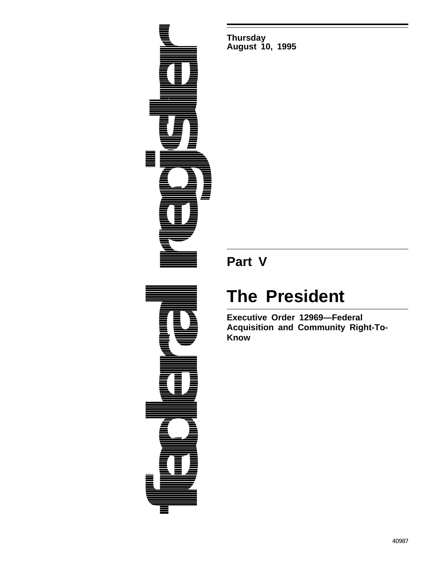

**Thursday August 10, 1995**

## **Part V**

## **The President**

**Executive Order 12969—Federal Acquisition and Community Right-To-Know**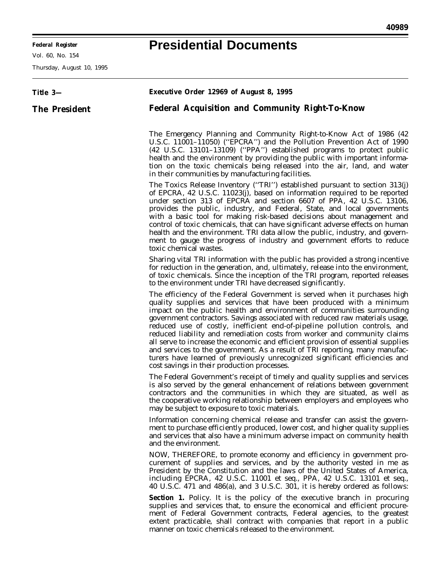۰

## **Presidential Documents**

Ξ

Vol. 60, No. 154

Thursday, August 10, 1995

| Title 3-             | <b>Executive Order 12969 of August 8, 1995</b>                                                                                                                                                                                                                                                                                                                                                                                                                                                                                                                                                                                                                                                                                                                         |
|----------------------|------------------------------------------------------------------------------------------------------------------------------------------------------------------------------------------------------------------------------------------------------------------------------------------------------------------------------------------------------------------------------------------------------------------------------------------------------------------------------------------------------------------------------------------------------------------------------------------------------------------------------------------------------------------------------------------------------------------------------------------------------------------------|
| <b>The President</b> | <b>Federal Acquisition and Community Right-To-Know</b>                                                                                                                                                                                                                                                                                                                                                                                                                                                                                                                                                                                                                                                                                                                 |
|                      | The Emergency Planning and Community Right-to-Know Act of 1986 (42)<br>U.S.C. 11001-11050) ("EPCRA") and the Pollution Prevention Act of 1990<br>(42 U.S.C. 13101-13109) ("PPA") established programs to protect public<br>health and the environment by providing the public with important informa-<br>tion on the toxic chemicals being released into the air, land, and water<br>in their communities by manufacturing facilities.                                                                                                                                                                                                                                                                                                                                 |
|                      | The Toxics Release Inventory ("TRI") established pursuant to section 313(j)<br>of EPCRA, 42 U.S.C. 11023(j), based on information required to be reported<br>under section 313 of EPCRA and section 6607 of PPA, 42 U.S.C. 13106,<br>provides the public, industry, and Federal, State, and local governments<br>with a basic tool for making risk-based decisions about management and<br>control of toxic chemicals, that can have significant adverse effects on human<br>health and the environment. TRI data allow the public, industry, and govern-<br>ment to gauge the progress of industry and government efforts to reduce<br>toxic chemical wastes.                                                                                                         |
|                      | Sharing vital TRI information with the public has provided a strong incentive<br>for reduction in the generation, and, ultimately, release into the environment,<br>of toxic chemicals. Since the inception of the TRI program, reported releases<br>to the environment under TRI have decreased significantly.                                                                                                                                                                                                                                                                                                                                                                                                                                                        |
|                      | The efficiency of the Federal Government is served when it purchases high<br>quality supplies and services that have been produced with a minimum<br>impact on the public health and environment of communities surrounding<br>government contractors. Savings associated with reduced raw materials usage,<br>reduced use of costly, inefficient end-of-pipeline pollution controls, and<br>reduced liability and remediation costs from worker and community claims<br>all serve to increase the economic and efficient provision of essential supplies<br>and services to the government. As a result of TRI reporting, many manufac-<br>turers have learned of previously unrecognized significant efficiencies and<br>cost savings in their production processes. |
|                      | The Federal Government's receipt of timely and quality supplies and services<br>is also served by the general enhancement of relations between government<br>contractors and the communities in which they are situated, as well as<br>the cooperative working relationship between employers and employees who<br>may be subject to exposure to toxic materials.                                                                                                                                                                                                                                                                                                                                                                                                      |
|                      | Information concerning chemical release and transfer can assist the govern-<br>ment to purchase efficiently produced, lower cost, and higher quality supplies<br>and services that also have a minimum adverse impact on community health<br>and the environment.                                                                                                                                                                                                                                                                                                                                                                                                                                                                                                      |
|                      | NOW, THEREFORE, to promote economy and efficiency in government pro-<br>curement of supplies and services, and by the authority vested in me as<br>President by the Constitution and the laws of the United States of America,<br>including EPCRA, 42 U.S.C. 11001 et seq., PPA, 42 U.S.C. 13101 et seq.,<br>40 U.S.C. 471 and 486(a), and 3 U.S.C. 301, it is hereby ordered as follows:                                                                                                                                                                                                                                                                                                                                                                              |
|                      | <b>Section 1.</b> Policy. It is the policy of the executive branch in procuring<br>supplies and services that, to ensure the economical and efficient procure-<br>ment of Federal Government contracts, Federal agencies, to the greatest<br>extent practicable, shall contract with companies that report in a public<br>manner on toxic chemicals released to the environment.                                                                                                                                                                                                                                                                                                                                                                                       |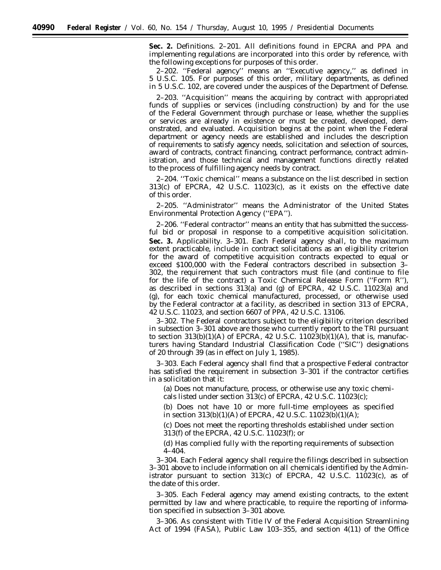**Sec. 2.** *Definitions.* 2–201. All definitions found in EPCRA and PPA and implementing regulations are incorporated into this order by reference, with the following exceptions for purposes of this order.

2–202. ''*Federal agency*'' means an ''Executive agency,'' as defined in 5 U.S.C. 105. For purposes of this order, military departments, as defined in 5 U.S.C. 102, are covered under the auspices of the Department of Defense.

2–203. ''*Acquisition*'' means the acquiring by contract with appropriated funds of supplies or services (including construction) by and for the use of the Federal Government through purchase or lease, whether the supplies or services are already in existence or must be created, developed, demonstrated, and evaluated. Acquisition begins at the point when the Federal department or agency needs are established and includes the description of requirements to satisfy agency needs, solicitation and selection of sources, award of contracts, contract financing, contract performance, contract administration, and those technical and management functions directly related to the process of fulfilling agency needs by contract.

2–204. ''*Toxic chemical*'' means a substance on the list described in section 313(c) of EPCRA, 42 U.S.C. 11023(c), as it exists on the effective date of this order.

2–205. ''*Administrator*'' means the Administrator of the United States Environmental Protection Agency (''EPA'').

2–206. ''*Federal contractor*'' means an entity that has submitted the successful bid or proposal in response to a competitive acquisition solicitation. **Sec. 3.** *Applicability.* 3–301. Each Federal agency shall, to the maximum extent practicable, include in contract solicitations as an eligibility criterion for the award of competitive acquisition contracts expected to equal or exceed \$100,000 with the Federal contractors described in subsection 3– 302, the requirement that such contractors must file (and continue to file for the life of the contract) a Toxic Chemical Release Form (''Form R''), as described in sections 313(a) and (g) of EPCRA, 42 U.S.C. 11023(a) and (g), for each toxic chemical manufactured, processed, or otherwise used by the Federal contractor at a facility, as described in section 313 of EPCRA, 42 U.S.C. 11023, and section 6607 of PPA, 42 U.S.C. 13106.

3–302. The Federal contractors subject to the eligibility criterion described in subsection 3–301 above are those who currently report to the TRI pursuant to section  $313(b)(1)(A)$  of EPCRA, 42 U.S.C.  $11023(b)(1)(A)$ , that is, manufacturers having Standard Industrial Classification Code (''SIC'') designations of 20 through 39 (as in effect on July 1, 1985).

3–303. Each Federal agency shall find that a prospective Federal contractor has satisfied the requirement in subsection 3–301 if the contractor certifies in a solicitation that it:

(a) Does not manufacture, process, or otherwise use any toxic chemicals listed under section 313(c) of EPCRA, 42 U.S.C. 11023(c);

(b) Does not have 10 or more full-time employees as specified in section 313(b)(1)(A) of EPCRA, 42 U.S.C. 11023(b)(1)(A);

(c) Does not meet the reporting thresholds established under section 313(f) of the EPCRA, 42 U.S.C. 11023(f); or

(d) Has complied fully with the reporting requirements of subsection 4–404.

3–304. Each Federal agency shall require the filings described in subsection 3–301 above to include information on all chemicals identified by the Administrator pursuant to section  $313(c)$  of EPCRA, 42 U.S.C.  $11023(c)$ , as of the date of this order.

3–305. Each Federal agency may amend existing contracts, to the extent permitted by law and where practicable, to require the reporting of information specified in subsection 3–301 above.

3–306. As consistent with Title IV of the Federal Acquisition Streamlining Act of 1994 (FASA), Public Law 103–355, and section 4(11) of the Office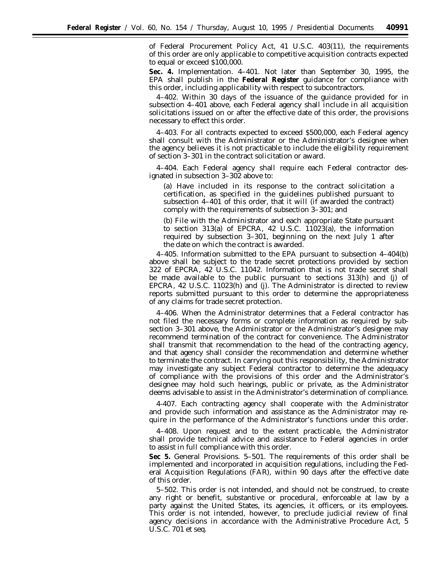of Federal Procurement Policy Act, 41 U.S.C. 403(11), the requirements of this order are only applicable to competitive acquisition contracts expected to equal or exceed \$100,000.

**Sec. 4.** *Implementation.* 4–401. Not later than September 30, 1995, the EPA shall publish in the **Federal Register** guidance for compliance with this order, including applicability with respect to subcontractors.

4–402. Within 30 days of the issuance of the guidance provided for in subsection 4–401 above, each Federal agency shall include in all acquisition solicitations issued on or after the effective date of this order, the provisions necessary to effect this order.

4–403. For all contracts expected to exceed \$500,000, each Federal agency shall consult with the Administrator or the Administrator's designee when the agency believes it is not practicable to include the eligibility requirement of section 3–301 in the contract solicitation or award.

4–404. Each Federal agency shall require each Federal contractor designated in subsection 3–302 above to:

(a) Have included in its response to the contract solicitation a certification, as specified in the guidelines published pursuant to subsection 4–401 of this order, that it will (if awarded the contract) comply with the requirements of subsection 3–301; and

(b) File with the Administrator and each appropriate State pursuant to section 313(a) of EPCRA, 42 U.S.C. 11023(a), the information required by subsection 3–301, beginning on the next July 1 after the date on which the contract is awarded.

4–405. Information submitted to the EPA pursuant to subsection 4–404(b) above shall be subject to the trade secret protections provided by section 322 of EPCRA, 42 U.S.C. 11042. Information that is not trade secret shall be made available to the public pursuant to sections 313(h) and (j) of EPCRA, 42 U.S.C. 11023(h) and (j). The Administrator is directed to review reports submitted pursuant to this order to determine the appropriateness of any claims for trade secret protection.

4–406. When the Administrator determines that a Federal contractor has not filed the necessary forms or complete information as required by subsection 3–301 above, the Administrator or the Administrator's designee may recommend termination of the contract for convenience. The Administrator shall transmit that recommendation to the head of the contracting agency, and that agency shall consider the recommendation and determine whether to terminate the contract. In carrying out this responsibility, the Administrator may investigate any subject Federal contractor to determine the adequacy of compliance with the provisions of this order and the Administrator's designee may hold such hearings, public or private, as the Administrator deems advisable to assist in the Administrator's determination of compliance.

4-407. Each contracting agency shall cooperate with the Administrator and provide such information and assistance as the Administrator may require in the performance of the Administrator's functions under this order.

4–408. Upon request and to the extent practicable, the Administrator shall provide technical advice and assistance to Federal agencies in order to assist in full compliance with this order.

**Sec 5.** *General Provisions.* 5–501. The requirements of this order shall be implemented and incorporated in acquisition regulations, including the Federal Acquisition Regulations (FAR), within 90 days after the effective date of this order.

5–502. This order is not intended, and should not be construed, to create any right or benefit, substantive or procedural, enforceable at law by a party against the United States, its agencies, it officers, or its employees. This order is not intended, however, to preclude judicial review of final agency decisions in accordance with the Administrative Procedure Act, 5 U.S.C. 701 et seq.